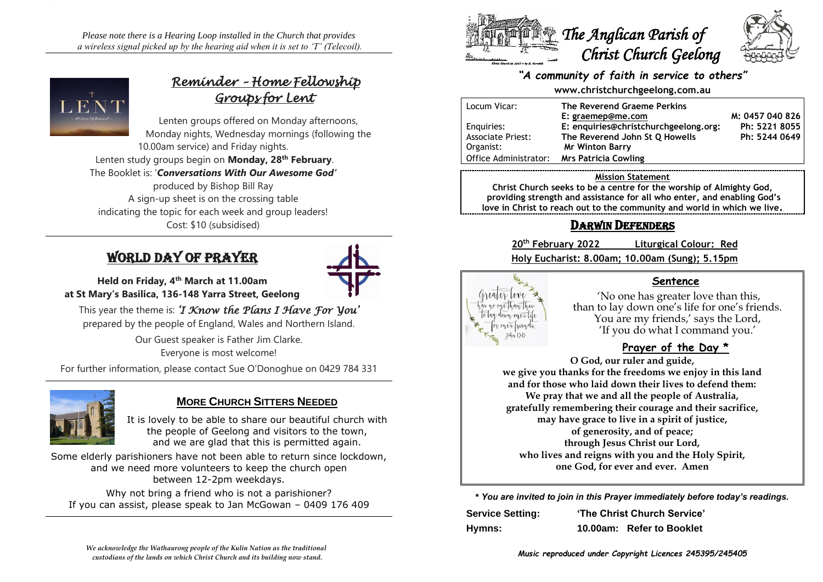*Please note there is a Hearing Loop installed in the Church that provides a wireless signal picked up by the hearing aid when it is set to 'T' (Telecoil).*



# *Reminder – Home Fellowship Groups for Lent*

Lenten groups offered on Monday afternoons, Monday nights, Wednesday mornings (following the 10.00am service) and Friday nights.

Lenten study groups begin on **Monday, 28th February**. The Booklet is: '*Conversations With Our Awesome God'* produced by Bishop Bill Ray A sign-up sheet is on the crossing table indicating the topic for each week and group leaders! Cost: \$10 (subsidised)

# World Day of Prayer



**Held on Friday, 4th March at 11.00am at St Mary's Basilica, 136-148 Yarra Street, Geelong**

This year the theme is: *'I Know the Plans I Have For You'*  prepared by the people of England, Wales and Northern Island.

> Our Guest speaker is Father Jim Clarke. Everyone is most welcome!

For further information, please contact Sue O'Donoghue on 0429 784 331



# **MORE CHURCH SITTERS NEEDED**

It is lovely to be able to share our beautiful church with the people of Geelong and visitors to the town, and we are glad that this is permitted again.

Some elderly parishioners have not been able to return since lockdown, and we need more volunteers to keep the church open between 12-2pm weekdays.

Why not bring a friend who is not a parishioner? If you can assist, please speak to Jan McGowan – 0409 176 409



# *"A community of faith in service to others"*

#### **www.christchurchgeelong.com.au**

| Locum Vicar:             | The Reverend Graeme Perkins           |                 |
|--------------------------|---------------------------------------|-----------------|
|                          | E: graemep@me.com                     | M: 0457 040 826 |
| Enguiries:               | E: enquiries@christchurchgeelong.org: | Ph: 5221 8055   |
| <b>Associate Priest:</b> | The Reverend John St O Howells        | Ph: 5244 0649   |
| Organist:                | <b>Mr Winton Barry</b>                |                 |
| Office Administrator:    | <b>Mrs Patricia Cowling</b>           |                 |

#### **Mission Statement**

**Christ Church seeks to be a centre for the worship of Almighty God, providing strength and assistance for all who enter, and enabling God's love in Christ to reach out to the community and world in which we live.**

# DARWIN DEFENDERS

**20th February 2022 Liturgical Colour: Red Holy Eucharist: 8.00am; 10.00am (Sung); 5.15pm**



# **Sentence**

'No one has greater love than this, than to lay down one's life for one's friends. You are my friends,' says the Lord, 'If you do what I command you.'

# **Prayer of the Day \***

**O God, our ruler and guide, we give you thanks for the freedoms we enjoy in this land and for those who laid down their lives to defend them: We pray that we and all the people of Australia, gratefully remembering their courage and their sacrifice, may have grace to live in a spirit of justice, of generosity, and of peace; through Jesus Christ our Lord, who lives and reigns with you and the Holy Spirit, one God, for ever and ever. Amen**

**\*** *You are invited to join in this Prayer immediately before today's readings.*

| <b>Service Setting:</b> | 'The Christ Church Service' |                           |
|-------------------------|-----------------------------|---------------------------|
| Hymns:                  |                             | 10.00am: Refer to Booklet |

*Music reproduced under Copyright Licences 245395/245405*